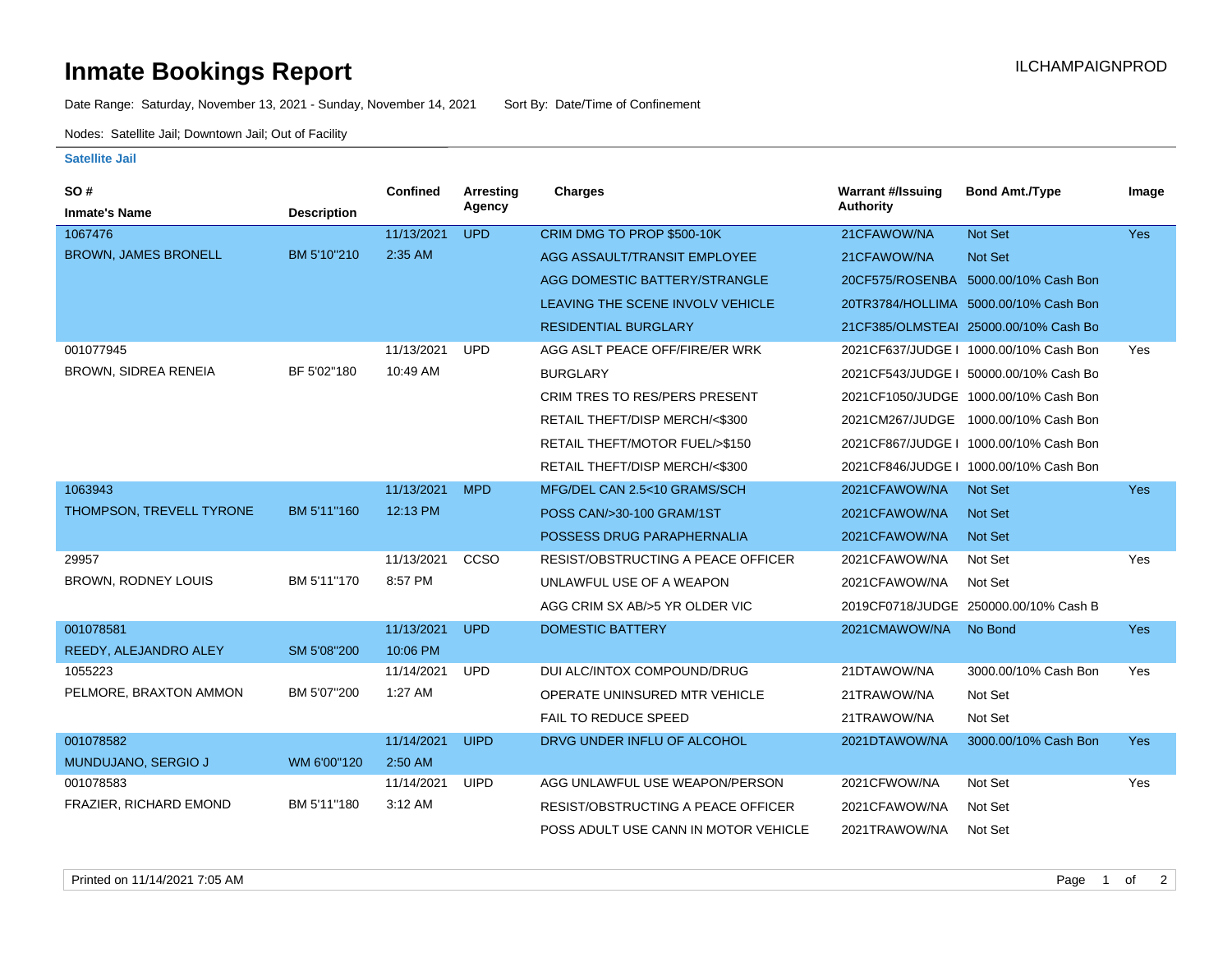## **Inmate Bookings Report International Contract Contract Contract Contract Contract Contract Contract Contract Contract Contract Contract Contract Contract Contract Contract Contract Contract Contract Contract Contract Co**

Date Range: Saturday, November 13, 2021 - Sunday, November 14, 2021 Sort By: Date/Time of Confinement

Nodes: Satellite Jail; Downtown Jail; Out of Facility

## **Satellite Jail**

| SO#                         |                    | <b>Confined</b> | <b>Arresting</b> | <b>Charges</b>                            | <b>Warrant #/Issuing</b> | <b>Bond Amt./Type</b>                  | Image      |
|-----------------------------|--------------------|-----------------|------------------|-------------------------------------------|--------------------------|----------------------------------------|------------|
| <b>Inmate's Name</b>        | <b>Description</b> |                 | Agency           |                                           | <b>Authority</b>         |                                        |            |
| 1067476                     |                    | 11/13/2021      | <b>UPD</b>       | CRIM DMG TO PROP \$500-10K                | 21CFAWOW/NA              | <b>Not Set</b>                         | <b>Yes</b> |
| <b>BROWN, JAMES BRONELL</b> | BM 5'10"210        | 2:35 AM         |                  | AGG ASSAULT/TRANSIT EMPLOYEE              | 21CFAWOW/NA              | Not Set                                |            |
|                             |                    |                 |                  | AGG DOMESTIC BATTERY/STRANGLE             |                          | 20CF575/ROSENBA 5000.00/10% Cash Bon   |            |
|                             |                    |                 |                  | LEAVING THE SCENE INVOLV VEHICLE          |                          | 20TR3784/HOLLIMA 5000.00/10% Cash Bon  |            |
|                             |                    |                 |                  | <b>RESIDENTIAL BURGLARY</b>               |                          | 21CF385/OLMSTEAI 25000.00/10% Cash Bo  |            |
| 001077945                   |                    | 11/13/2021      | <b>UPD</b>       | AGG ASLT PEACE OFF/FIRE/ER WRK            |                          | 2021CF637/JUDGE   1000.00/10% Cash Bon | Yes        |
| <b>BROWN, SIDREA RENEIA</b> | BF 5'02"180        | 10:49 AM        |                  | <b>BURGLARY</b>                           |                          | 2021CF543/JUDGE   50000.00/10% Cash Bo |            |
|                             |                    |                 |                  | <b>CRIM TRES TO RES/PERS PRESENT</b>      |                          | 2021CF1050/JUDGE 1000.00/10% Cash Bon  |            |
|                             |                    |                 |                  | RETAIL THEFT/DISP MERCH/<\$300            |                          | 2021CM267/JUDGE 1000.00/10% Cash Bon   |            |
|                             |                    |                 |                  | RETAIL THEFT/MOTOR FUEL/>\$150            |                          | 2021CF867/JUDGE   1000.00/10% Cash Bon |            |
|                             |                    |                 |                  | RETAIL THEFT/DISP MERCH/<\$300            |                          | 2021CF846/JUDGE   1000.00/10% Cash Bon |            |
| 1063943                     |                    | 11/13/2021      | <b>MPD</b>       | MFG/DEL CAN 2.5<10 GRAMS/SCH              | 2021CFAWOW/NA            | <b>Not Set</b>                         | Yes        |
| THOMPSON, TREVELL TYRONE    | BM 5'11"160        | 12:13 PM        |                  | POSS CAN/>30-100 GRAM/1ST                 | 2021CFAWOW/NA            | Not Set                                |            |
|                             |                    |                 |                  | POSSESS DRUG PARAPHERNALIA                | 2021CFAWOW/NA            | <b>Not Set</b>                         |            |
| 29957                       |                    | 11/13/2021      | CCSO             | <b>RESIST/OBSTRUCTING A PEACE OFFICER</b> | 2021CFAWOW/NA            | Not Set                                | Yes        |
| BROWN, RODNEY LOUIS         | BM 5'11"170        | 8:57 PM         |                  | UNLAWFUL USE OF A WEAPON                  | 2021CFAWOW/NA            | Not Set                                |            |
|                             |                    |                 |                  | AGG CRIM SX AB/>5 YR OLDER VIC            |                          | 2019CF0718/JUDGE 250000.00/10% Cash B  |            |
| 001078581                   |                    | 11/13/2021      | <b>UPD</b>       | <b>DOMESTIC BATTERY</b>                   | 2021CMAWOW/NA            | No Bond                                | <b>Yes</b> |
| REEDY, ALEJANDRO ALEY       | SM 5'08"200        | 10:06 PM        |                  |                                           |                          |                                        |            |
| 1055223                     |                    | 11/14/2021      | <b>UPD</b>       | DUI ALC/INTOX COMPOUND/DRUG               | 21DTAWOW/NA              | 3000.00/10% Cash Bon                   | Yes        |
| PELMORE, BRAXTON AMMON      | BM 5'07"200        | 1:27 AM         |                  | OPERATE UNINSURED MTR VEHICLE             | 21TRAWOW/NA              | Not Set                                |            |
|                             |                    |                 |                  | FAIL TO REDUCE SPEED                      | 21TRAWOW/NA              | Not Set                                |            |
| 001078582                   |                    | 11/14/2021      | <b>UIPD</b>      | DRVG UNDER INFLU OF ALCOHOL               | 2021DTAWOW/NA            | 3000.00/10% Cash Bon                   | <b>Yes</b> |
| MUNDUJANO, SERGIO J         | WM 6'00"120        | 2:50 AM         |                  |                                           |                          |                                        |            |
| 001078583                   |                    | 11/14/2021      | <b>UIPD</b>      | AGG UNLAWFUL USE WEAPON/PERSON            | 2021CFWOW/NA             | Not Set                                | Yes        |
| FRAZIER, RICHARD EMOND      | BM 5'11"180        | 3:12 AM         |                  | <b>RESIST/OBSTRUCTING A PEACE OFFICER</b> | 2021CFAWOW/NA            | Not Set                                |            |
|                             |                    |                 |                  | POSS ADULT USE CANN IN MOTOR VEHICLE      | 2021TRAWOW/NA            | Not Set                                |            |